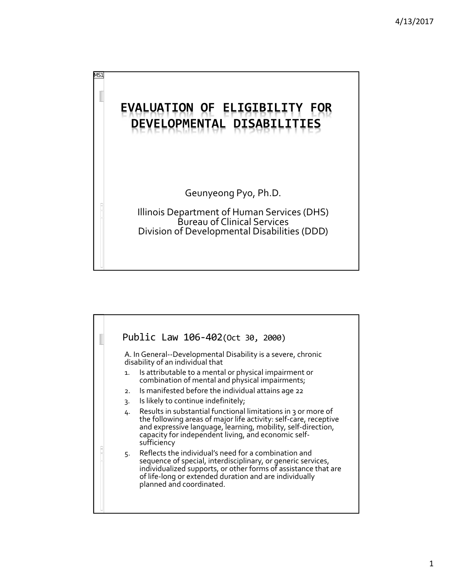

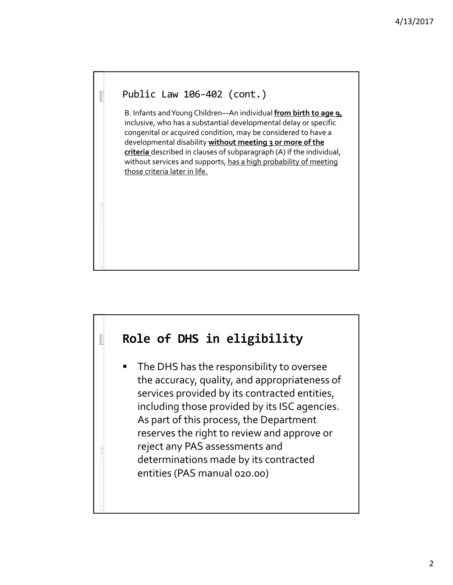## Public Law 106‐402 (cont.)

B. Infants andYoung Children—An individual **from birth to age 9,** inclusive, who has a substantial developmental delay or specific congenital or acquired condition, may be considered to have a developmental disability **without meeting 3 or more of the criteria** described in clauses of subparagraph (A) if the individual, without services and supports, has a high probability of meeting those criteria later in life.

# **Role of DHS in eligibility**

The DHS has the responsibility to oversee the accuracy, quality, and appropriateness of services provided by its contracted entities, including those provided by its ISC agencies. As part of this process, the Department reserves the right to review and approve or reject any PAS assessments and determinations made by its contracted entities (PAS manual 020.00)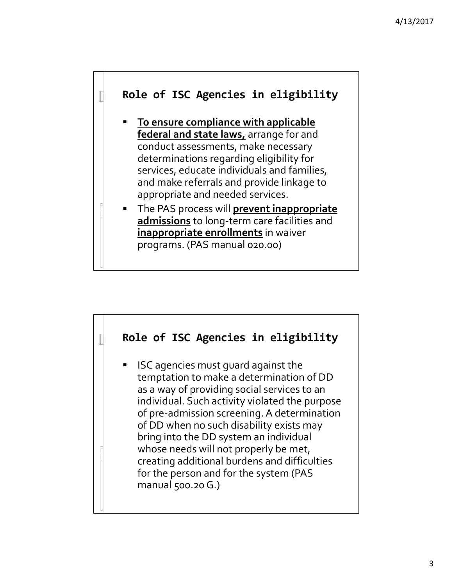

- **To ensure compliance with applicable federal and state laws,** arrange for and conduct assessments, make necessary determinations regarding eligibility for services, educate individuals and families, and make referrals and provide linkage to appropriate and needed services.
- The PAS process will **prevent inappropriate admissions** to long‐term care facilities and **inappropriate enrollments** in waiver programs. (PAS manual 020.00)

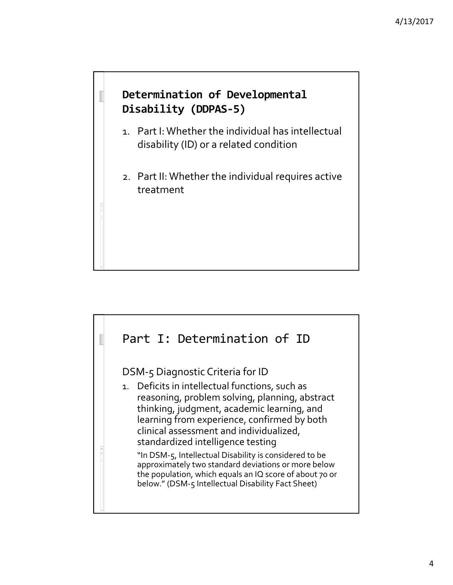## **Determination of Developmental Disability (DDPAS‐5)**

- 1. Part I: Whether the individual has intellectual disability (ID) or a related condition
- 2. Part II: Whether the individual requires active treatment

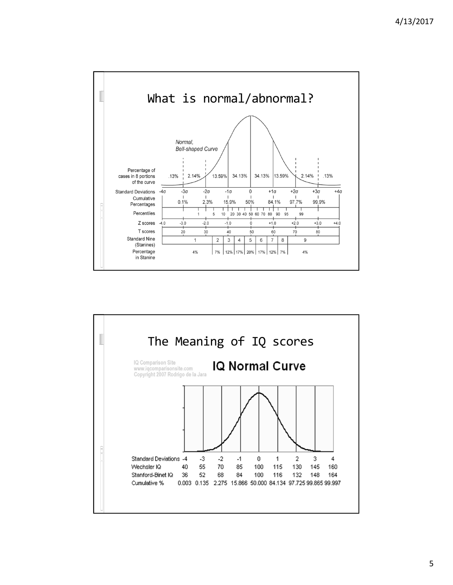

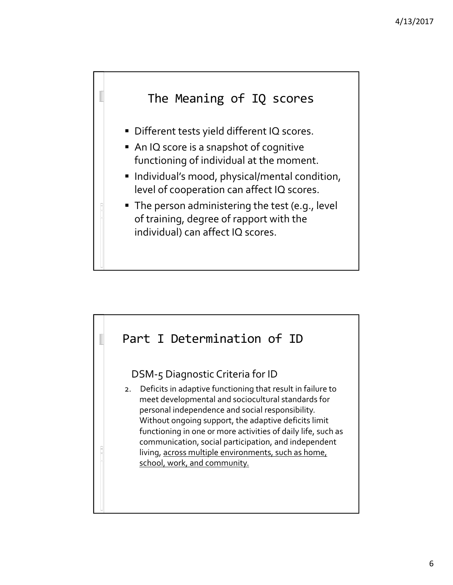

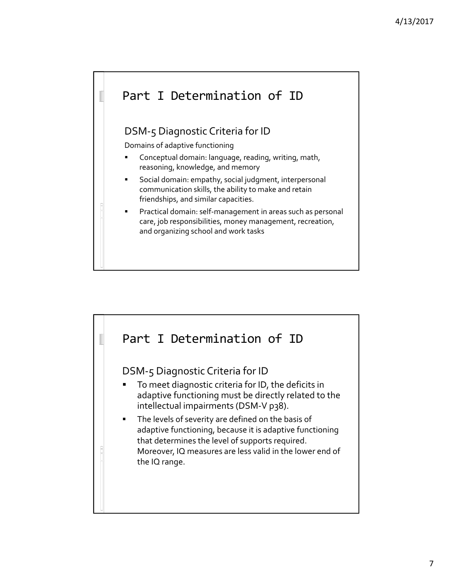# Part I Determination of ID DSM‐5 Diagnostic Criteria for ID Domains of adaptive functioning **Conceptual domain: language, reading, writing, math,** reasoning, knowledge, and memory Social domain: empathy, social judgment, interpersonal communication skills, the ability to make and retain friendships, and similar capacities. Practical domain: self‐management in areas such as personal care, job responsibilities, money management, recreation, and organizing school and work tasks

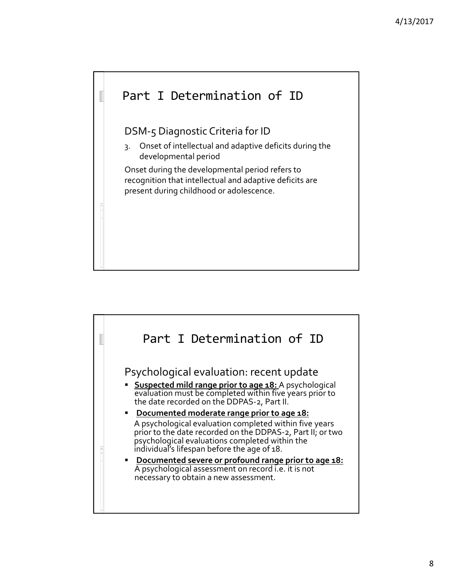

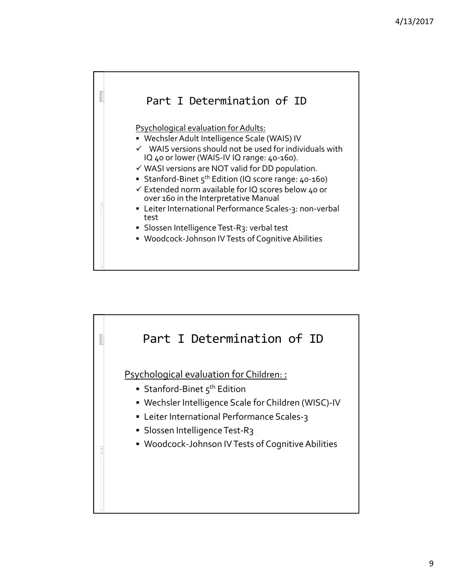

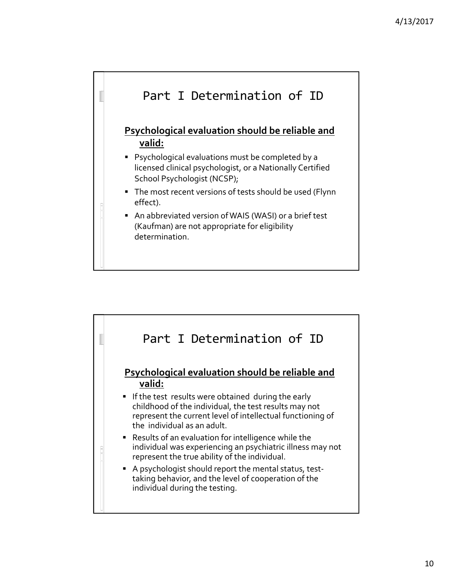

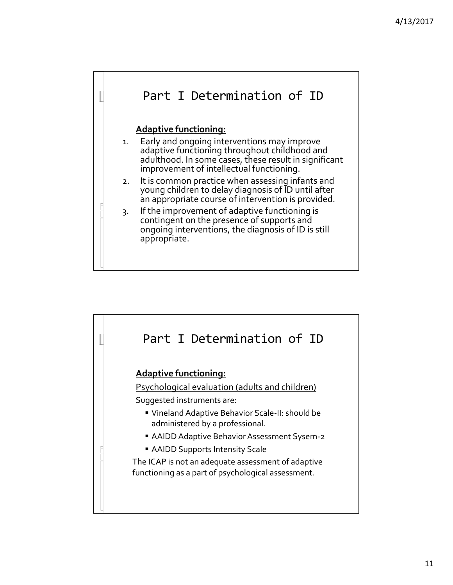

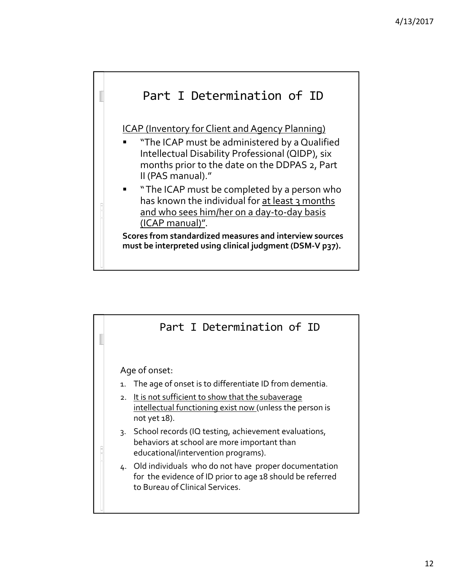

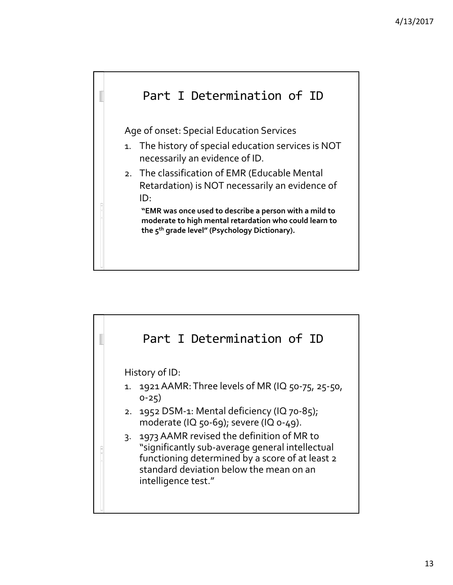

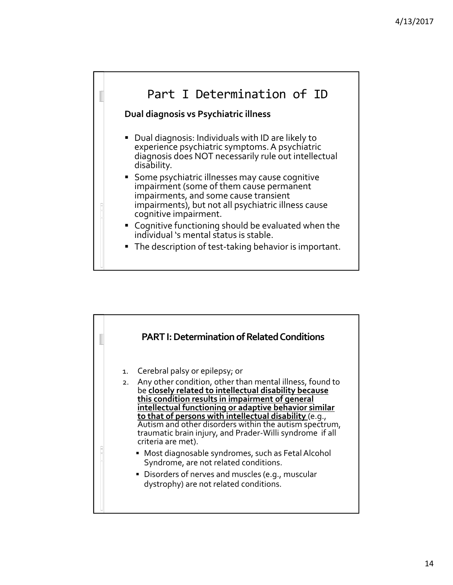

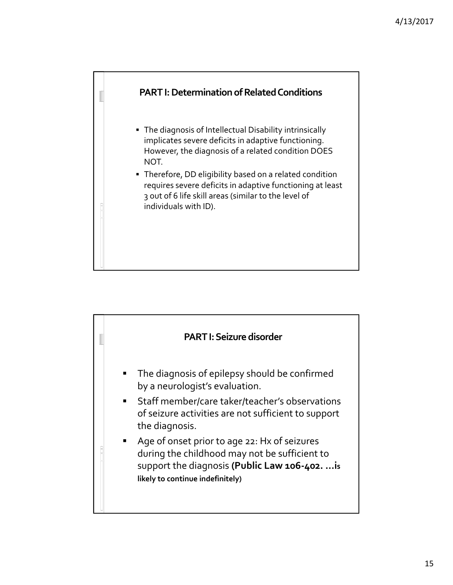

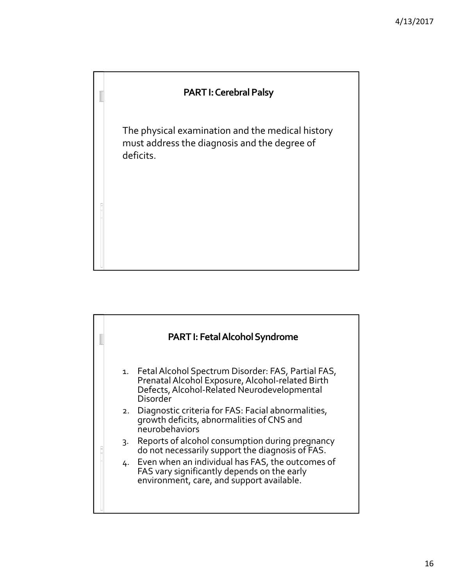### **PART I: Cerebral Palsy**

The physical examination and the medical history must address the diagnosis and the degree of deficits.

# **PART I: Fetal Alcohol Syndrome** 1. Fetal Alcohol Spectrum Disorder: FAS, Partial FAS, Prenatal Alcohol Exposure, Alcohol-related Birth Defects, Alcohol-Related Neurodevelopmental Disorder 2. Diagnostic criteria for FAS: Facial abnormalities, growth deficits, abnormalities of CNS and neurobehaviors 3. Reports of alcohol consumption during pregnancy do not necessarily support the diagnosis of FAS. 4. Even when an individual has FAS, the outcomes of FAS vary significantly depends on the early environment, care, and support available.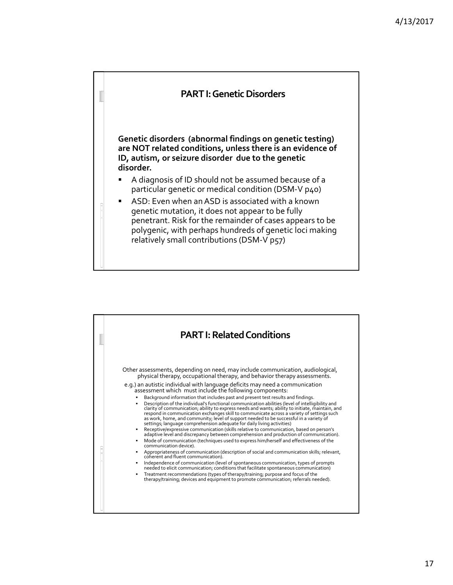

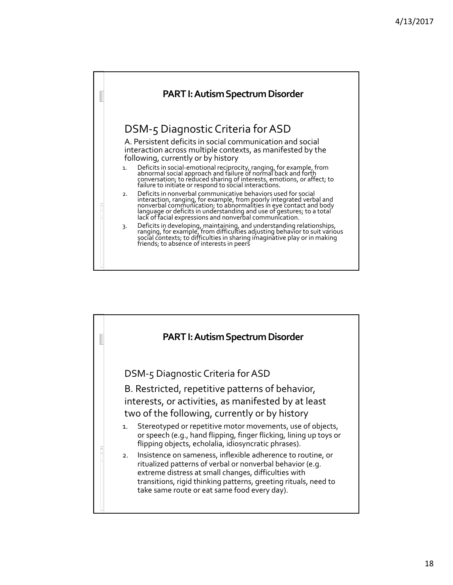

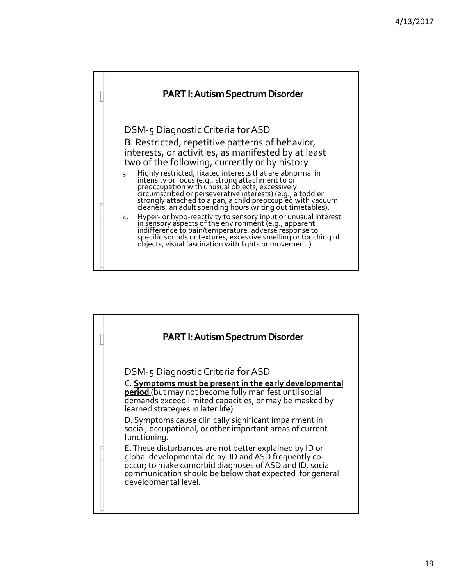

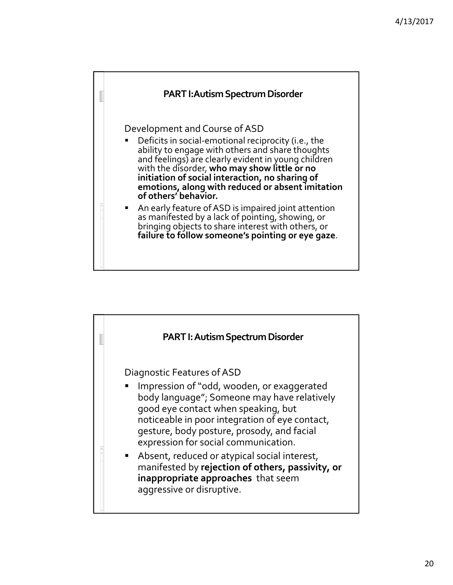

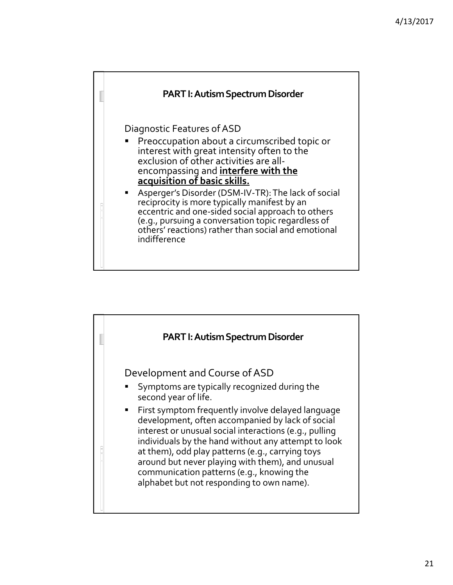

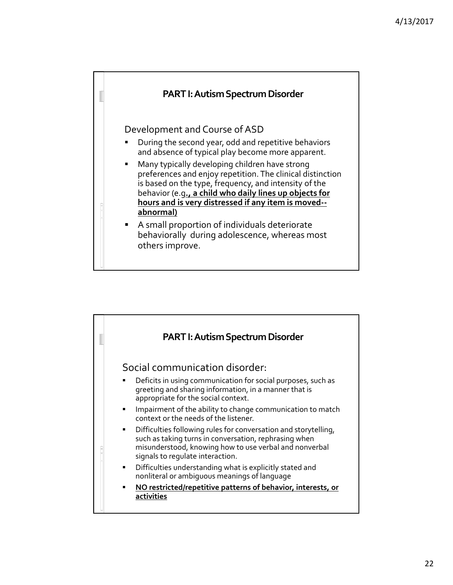

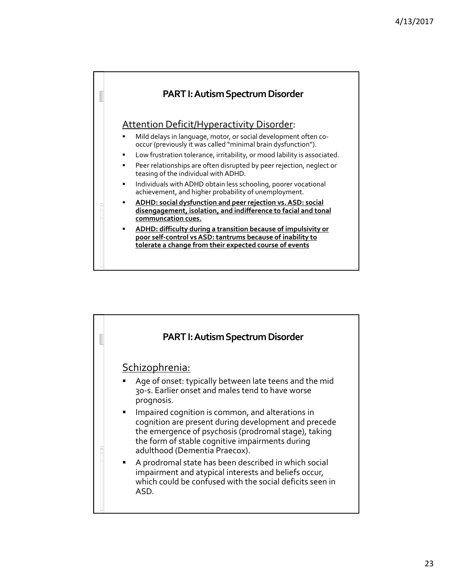

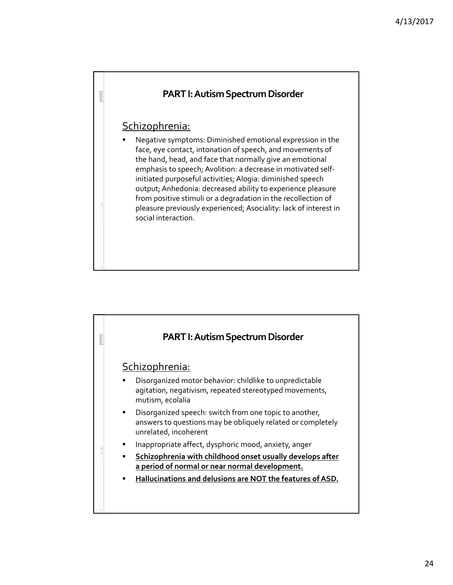

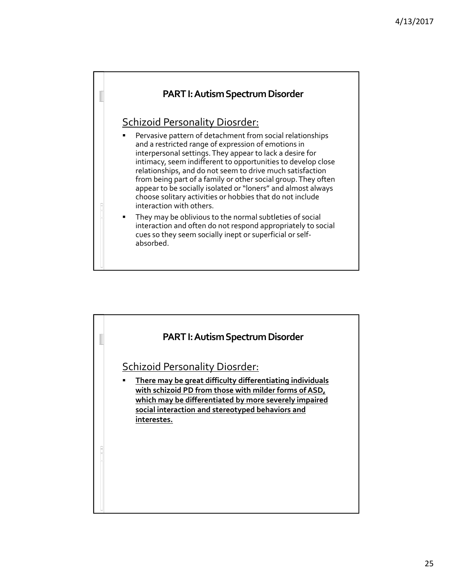

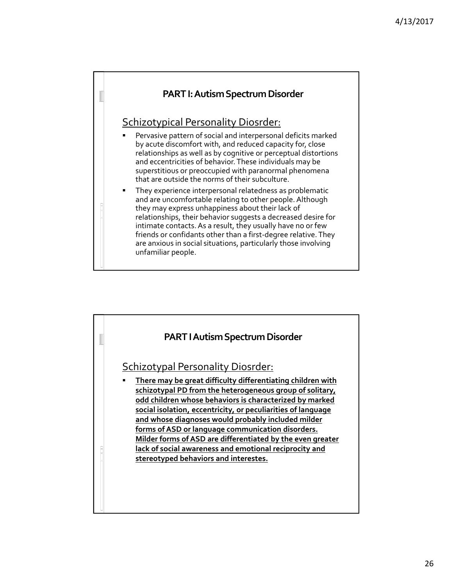

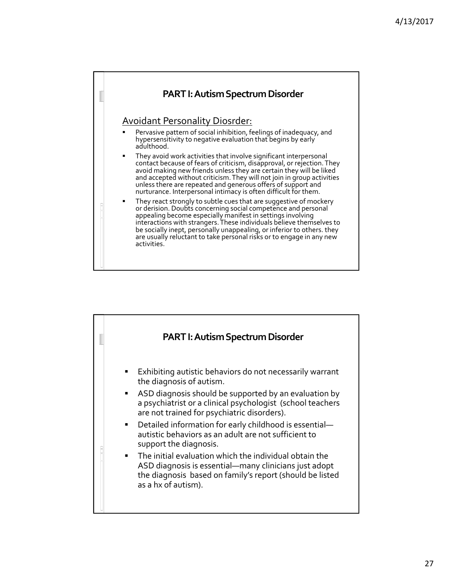

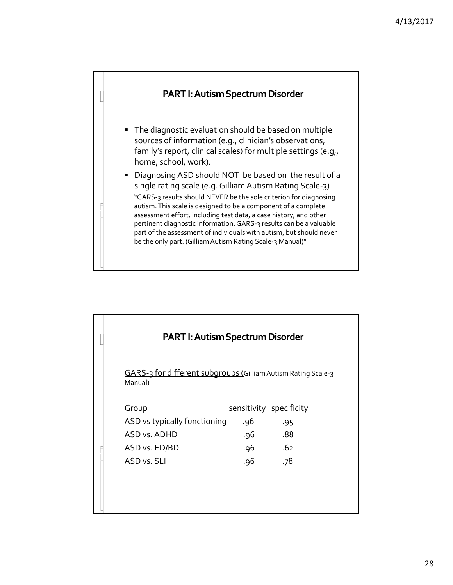

| <b>PART I: Autism Spectrum Disorder</b>                                               |                          |                                                     |  |
|---------------------------------------------------------------------------------------|--------------------------|-----------------------------------------------------|--|
| GARS-3 for different subgroups (Gilliam Autism Rating Scale-3<br>Manual)              |                          |                                                     |  |
| Group<br>ASD vs typically functioning<br>ASD vs. ADHD<br>ASD vs. ED/BD<br>ASD vs. SLI | .96<br>.96<br>.96<br>.96 | sensitivity specificity<br>.95<br>.88<br>.62<br>.78 |  |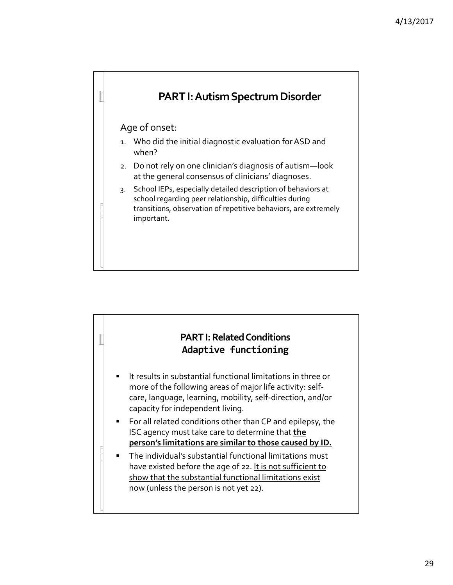

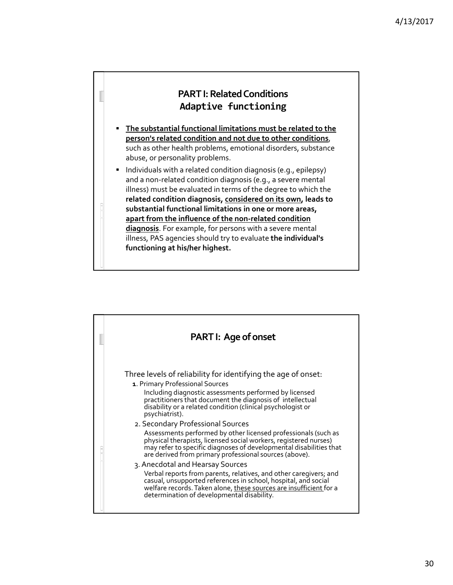

- **The substantial functional limitations must be related to the person's related condition and not due to other conditions**, such as other health problems, emotional disorders, substance abuse, or personality problems.
- **Individuals with a related condition diagnosis (e.g., epilepsy)** and a non‐related condition diagnosis (e.g., a severe mental illness) must be evaluated in terms of the degree to which the **related condition diagnosis, considered on its own, leads to substantial functional limitations in one or more areas, apart from the influence of the non‐related condition diagnosis**. For example, for persons with a severe mental illness, PAS agencies should try to evaluate **the individual's functioning at his/her highest.**

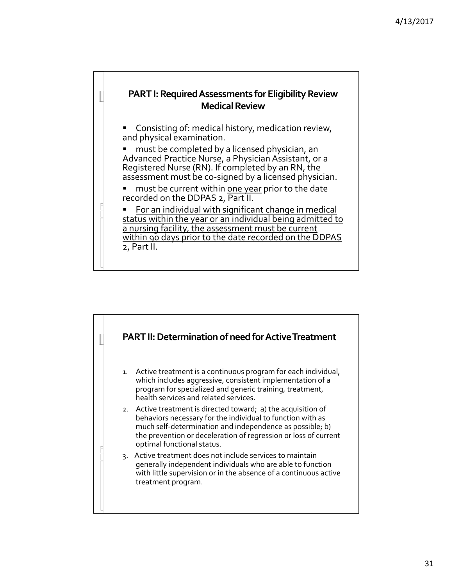

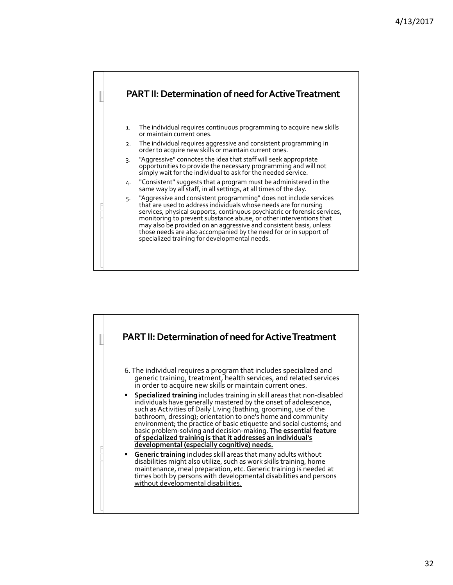

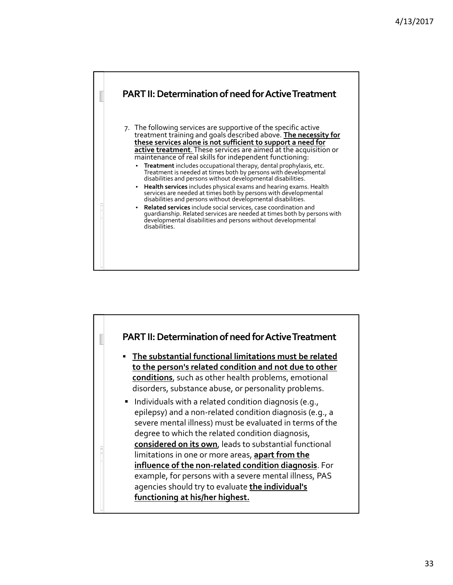

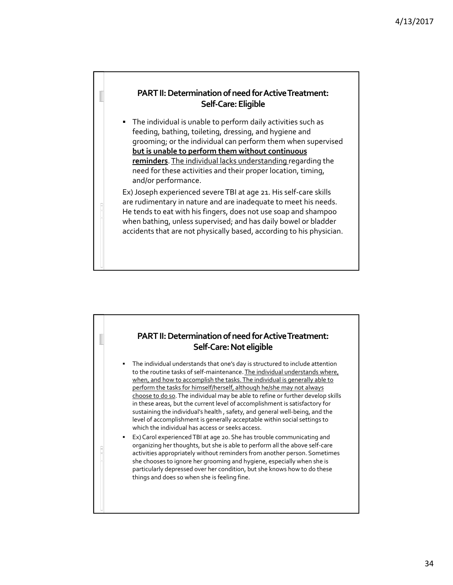#### **PART II: Determination of need for Active Treatment: Self‐Care:Eligible**

 The individual is unable to perform daily activities such as feeding, bathing, toileting, dressing, and hygiene and grooming; or the individual can perform them when supervised **but is unable to perform them without continuous reminders**. The individual lacks understanding regarding the need for these activities and their proper location, timing, and/or performance.

Ex)Joseph experienced severeTBI at age 21. His self‐care skills are rudimentary in nature and are inadequate to meet his needs. He tends to eat with his fingers, does not use soap and shampoo when bathing, unless supervised; and has daily bowel or bladder accidents that are not physically based, according to his physician.

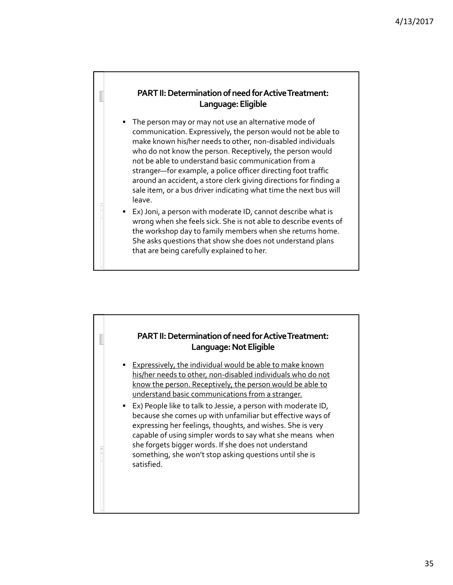#### **PART II: Determination of need for Active Treatment: Language:Eligible**

- The person may or may not use an alternative mode of communication. Expressively, the person would not be able to make known his/her needs to other, non‐disabled individuals who do not know the person. Receptively, the person would not be able to understand basic communication from a stranger—for example, a police officer directing foot traffic around an accident, a store clerk giving directions for finding a sale item, or a bus driver indicating what time the next bus will leave.
- Ex)Joni, a person with moderate ID, cannot describe what is wrong when she feels sick. She is not able to describe events of the workshop day to family members when she returns home. She asks questions that show she does not understand plans that are being carefully explained to her.

### **PART II: Determination of need for Active Treatment: Language:NotEligible**

- **Expressively, the individual would be able to make known** his/her needs to other, non‐disabled individuals who do not know the person. Receptively, the person would be able to understand basic communications from a stranger.
- Ex) People like to talk to Jessie, a person with moderate ID, because she comes up with unfamiliar but effective ways of expressing her feelings, thoughts, and wishes. She is very capable of using simpler words to say what she means when she forgets bigger words. If she does not understand something, she won't stop asking questions until she is satisfied.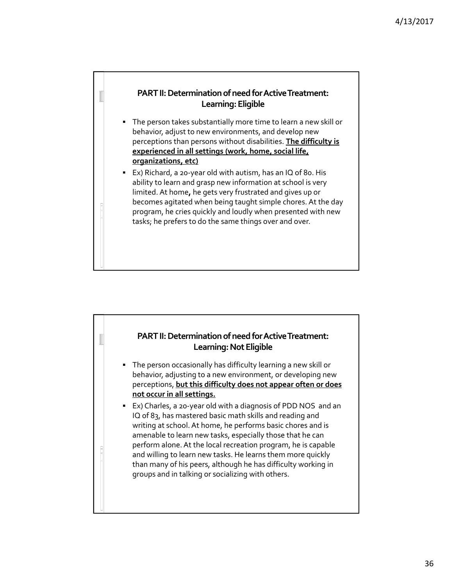

- The person takes substantially more time to learn a new skill or behavior, adjust to new environments, and develop new perceptions than persons without disabilities. **The difficulty is experienced in all settings (work, home, social life, organizations, etc)**
- Ex) Richard, a 20-year old with autism, has an IQ of 80. His ability to learn and grasp new information at school is very limited. At home**,** he gets very frustrated and gives up or becomes agitated when being taught simple chores. At the day program, he cries quickly and loudly when presented with new tasks; he prefers to do the same things over and over.

#### **PART II: Determination of need for Active Treatment:** Learning: Not Eligible

- The person occasionally has difficulty learning a new skill or behavior, adjusting to a new environment, or developing new perceptions, **but this difficulty does not appear often or does not occur in all settings.**
- Ex) Charles, a 20-year old with a diagnosis of PDD NOS and an IQ of 83, has mastered basic math skills and reading and writing at school. At home, he performs basic chores and is amenable to learn new tasks, especially those that he can perform alone.At the local recreation program, he is capable and willing to learn new tasks. He learns them more quickly than many of his peers, although he has difficulty working in groups and in talking or socializing with others.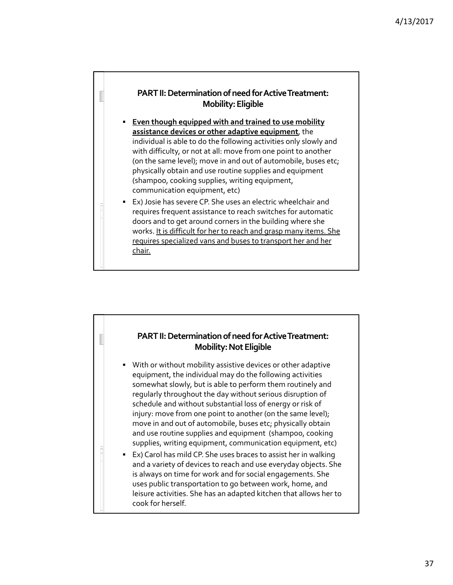#### **PART II: Determination of need for Active Treatment: Mobility:Eligible**

- **Even though equipped with and trained to use mobility assistance devices or other adaptive equipment**, the individual is able to do the following activities only slowly and with difficulty, or not at all: move from one point to another (on the same level); move in and out of automobile, buses etc; physically obtain and use routine supplies and equipment (shampoo, cooking supplies, writing equipment, communication equipment, etc)
- Ex)Josie has severe CP. She uses an electric wheelchair and requires frequent assistance to reach switches for automatic doors and to get around corners in the building where she works. It is difficult for her to reach and grasp many items. She requires specialized vans and buses to transport her and her chair.

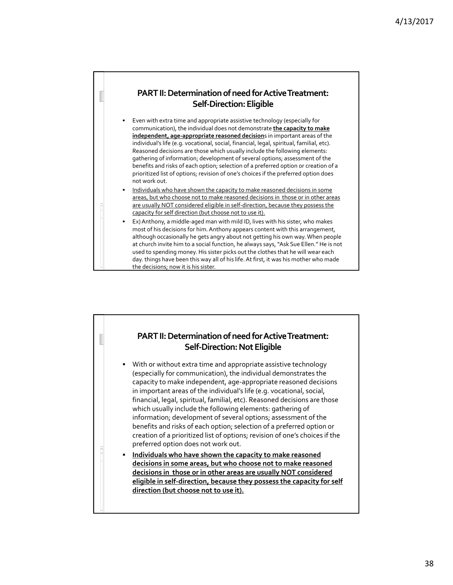

 Even with extra time and appropriate assistive technology (especially for communication), the individual does not demonstrate **the capacity to make independent, age‐appropriate reasoned decision**s in important areas of the individual's life (e.g. vocational, social, financial, legal, spiritual, familial, etc). Reasoned decisions are those which usually include the following elements: gathering of information; development of several options; assessment of the benefits and risks of each option; selection of a preferred option or creation of a prioritized list of options; revision of one's choices if the preferred option does not work out.

- Individuals who have shown the capacity to make reasoned decisions in some areas, but who choose not to make reasoned decisions in those or in other areas are usually NOT considered eligible in self-direction, because they possess the capacity for self direction (but choose not to use it).
- Ex) Anthony, a middle-aged man with mild ID, lives with his sister, who makes most of his decisions for him.Anthony appears content with this arrangement, although occasionally he gets angry about not getting his own way.When people at church invite him to a social function, he always says, "Ask Sue Ellen." He is not used to spending money. His sister picks out the clothes that he will wear each day. things have been this way all of his life.At first, it was his mother who made the decisions; now it is his sister.

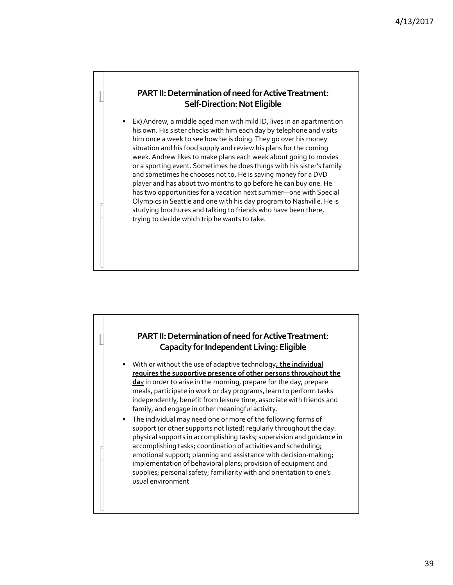#### **PART II: Determination of need for Active Treatment: Self-Direction: Not Eligible**

 Ex)Andrew, a middle aged man with mild ID, lives in an apartment on his own. His sister checks with him each day by telephone and visits him once a week to see how he is doing.They go over his money situation and his food supply and review his plans for the coming week.Andrew likes to make plans each week about going to movies or a sporting event. Sometimes he does things with his sister's family and sometimes he chooses not to. He is saving money for a DVD player and has about two months to go before he can buy one. He has two opportunities for a vacation next summer—one with Special Olympics in Seattle and one with his day program to Nashville. He is studying brochures and talking to friends who have been there, trying to decide which trip he wants to take.

#### **PART II: Determination of need for Active Treatment: Capacity for Independent Living: Eligible**

- With or without the use of adaptive technology**, the individual requires the supportive presence of other persons throughout the da**y in order to arise in the morning, prepare for the day, prepare meals, participate in work or day programs, learn to perform tasks independently, benefit from leisure time, associate with friends and family, and engage in other meaningful activity.
- The individual may need one or more of the following forms of support (or other supports not listed) regularly throughout the day: physical supports in accomplishing tasks; supervision and guidance in accomplishing tasks; coordination of activities and scheduling; emotional support; planning and assistance with decision‐making; implementation of behavioral plans; provision of equipment and supplies; personal safety; familiarity with and orientation to one's usual environment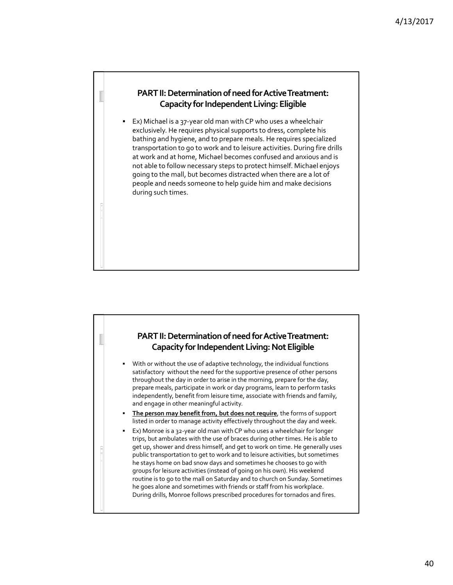#### **PART II: Determination of need for Active Treatment: Capacity for Independent Living: Eligible**

 Ex) Michael is a 37‐year old man with CP who uses a wheelchair exclusively. He requires physical supports to dress, complete his bathing and hygiene, and to prepare meals. He requires specialized transportation to go to work and to leisure activities. During fire drills at work and at home, Michael becomes confused and anxious and is not able to follow necessary steps to protect himself. Michael enjoys going to the mall, but becomes distracted when there are a lot of people and needs someone to help guide him and make decisions during such times.

#### **PART II: Determination of need for Active Treatment: Capacity for Independent Living: Not Eligible**

- With or without the use of adaptive technology, the individual functions satisfactory without the need for the supportive presence of other persons throughout the day in order to arise in the morning, prepare for the day, prepare meals, participate in work or day programs, learn to perform tasks independently, benefit from leisure time, associate with friends and family, and engage in other meaningful activity.
- **The person may benefit from, but does not require**, the forms of support listed in order to manage activity effectively throughout the day and week.
- Ex) Monroe is a 32‐year old man with CP who uses a wheelchair for longer trips, but ambulates with the use of braces during other times. He is able to get up, shower and dress himself, and get to work on time. He generally uses public transportation to get to work and to leisure activities, but sometimes he stays home on bad snow days and sometimes he chooses to go with groups for leisure activities (instead of going on his own). His weekend routine is to go to the mall on Saturday and to church on Sunday. Sometimes he goes alone and sometimes with friends or staff from his workplace. During drills, Monroe follows prescribed procedures for tornados and fires.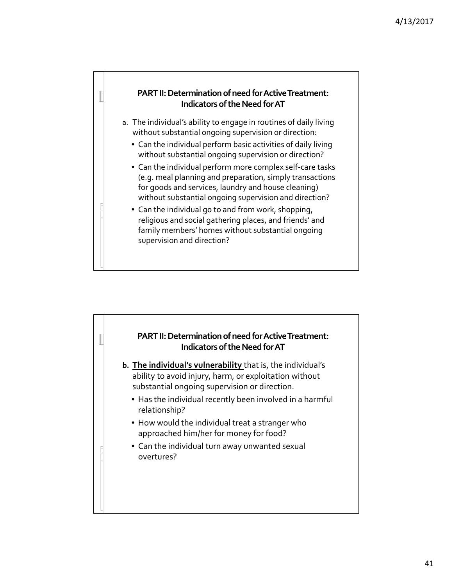

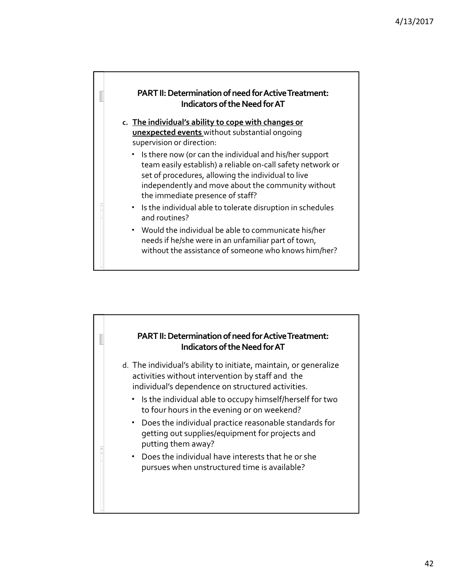

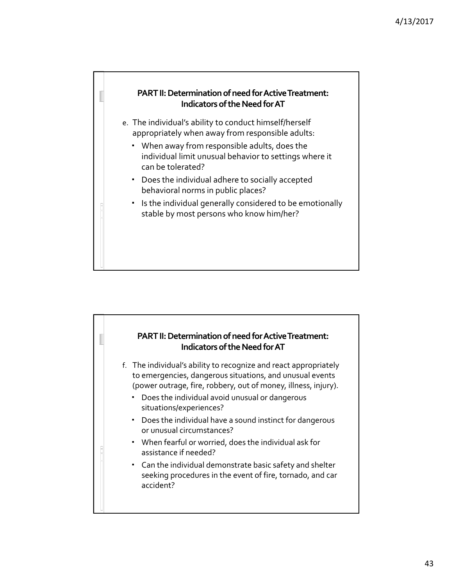

#### **PART II: Determination of need for Active Treatment: Indicators of the Need for AT**

- f. The individual's ability to recognize and react appropriately to emergencies, dangerous situations, and unusual events (power outrage, fire, robbery, out of money, illness, injury).
	- Does the individual avoid unusual or dangerous situations/experiences?
	- Does the individual have a sound instinct for dangerous or unusual circumstances?
	- When fearful or worried, does the individual ask for assistance if needed?
	- Can the individual demonstrate basic safety and shelter seeking procedures in the event of fire, tornado, and car accident?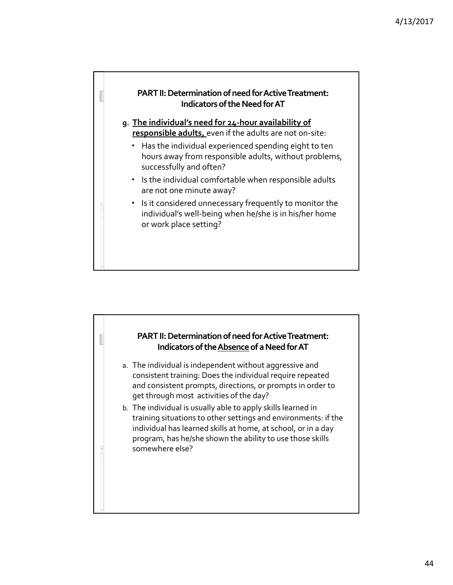

## **PART II: Determination of need for Active Treatment: Indicators of the Absence of a Need for AT** a. The individual is independent without aggressive and

- consistent training: Does the individual require repeated and consistent prompts, directions, or prompts in order to get through most activities of the day?
- b. The individual is usually able to apply skills learned in training situations to other settings and environments: if the individual has learned skills at home, at school, or in a day program, has he/she shown the ability to use those skills somewhere else?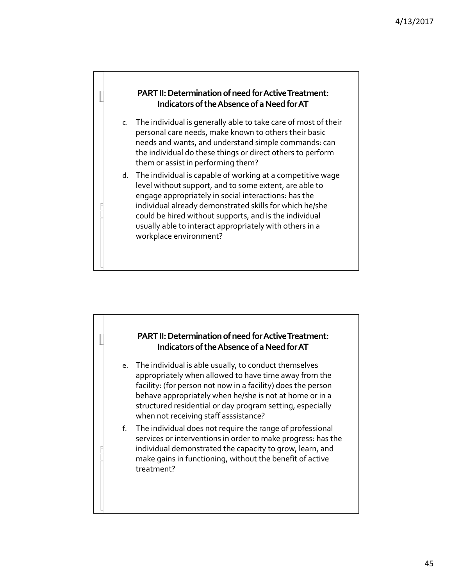

## **PART II: Determination of need for Active Treatment: Indicators of the Absence of a Need for AT**

e. The individual is able usually, to conduct themselves appropriately when allowed to have time away from the facility: (for person not now in a facility) does the person behave appropriately when he/she is not at home or in a structured residential or day program setting, especially when not receiving staff asssistance?

f. The individual does not require the range of professional services or interventions in order to make progress: has the individual demonstrated the capacity to grow, learn, and make gains in functioning, without the benefit of active treatment?